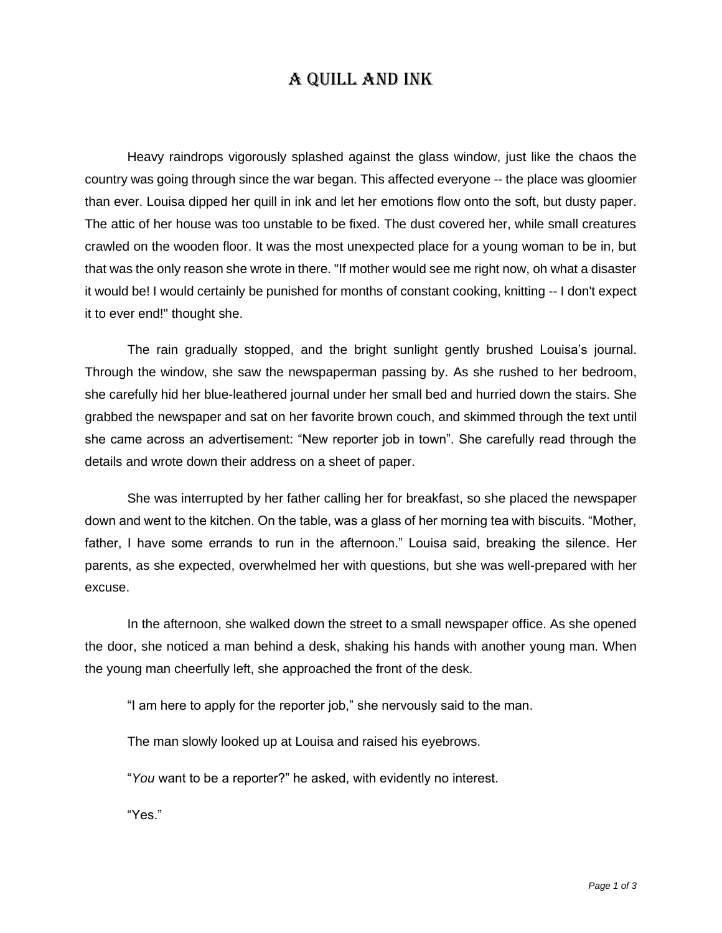## A Quill AND Ink

Heavy raindrops vigorously splashed against the glass window, just like the chaos the country was going through since the war began. This affected everyone -- the place was gloomier than ever. Louisa dipped her quill in ink and let her emotions flow onto the soft, but dusty paper. The attic of her house was too unstable to be fixed. The dust covered her, while small creatures crawled on the wooden floor. It was the most unexpected place for a young woman to be in, but that was the only reason she wrote in there. "If mother would see me right now, oh what a disaster it would be! I would certainly be punished for months of constant cooking, knitting -- I don't expect it to ever end!" thought she.

The rain gradually stopped, and the bright sunlight gently brushed Louisa's journal. Through the window, she saw the newspaperman passing by. As she rushed to her bedroom, she carefully hid her blue-leathered journal under her small bed and hurried down the stairs. She grabbed the newspaper and sat on her favorite brown couch, and skimmed through the text until she came across an advertisement: "New reporter job in town". She carefully read through the details and wrote down their address on a sheet of paper.

She was interrupted by her father calling her for breakfast, so she placed the newspaper down and went to the kitchen. On the table, was a glass of her morning tea with biscuits. "Mother, father, I have some errands to run in the afternoon." Louisa said, breaking the silence. Her parents, as she expected, overwhelmed her with questions, but she was well-prepared with her excuse.

In the afternoon, she walked down the street to a small newspaper office. As she opened the door, she noticed a man behind a desk, shaking his hands with another young man. When the young man cheerfully left, she approached the front of the desk.

"I am here to apply for the reporter job," she nervously said to the man.

The man slowly looked up at Louisa and raised his eyebrows.

"*You* want to be a reporter?" he asked, with evidently no interest.

"Yes."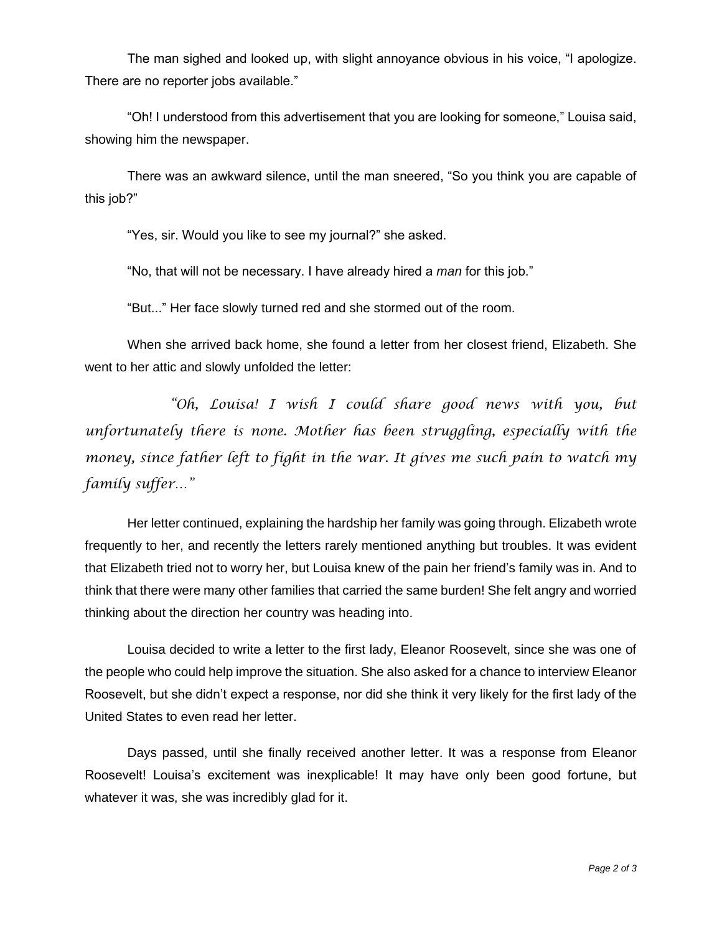The man sighed and looked up, with slight annoyance obvious in his voice, "I apologize. There are no reporter jobs available."

"Oh! I understood from this advertisement that you are looking for someone," Louisa said, showing him the newspaper.

There was an awkward silence, until the man sneered, "So you think you are capable of this job?"

"Yes, sir. Would you like to see my journal?" she asked.

"No, that will not be necessary. I have already hired a *man* for this job."

"But..." Her face slowly turned red and she stormed out of the room.

When she arrived back home, she found a letter from her closest friend, Elizabeth. She went to her attic and slowly unfolded the letter:

*"Oh, Louisa! I wish I could share good news with you, but unfortunately there is none. Mother has been struggling, especially with the money, since father left to fight in the war. It gives me such pain to watch my family suffer…"*

Her letter continued, explaining the hardship her family was going through. Elizabeth wrote frequently to her, and recently the letters rarely mentioned anything but troubles. It was evident that Elizabeth tried not to worry her, but Louisa knew of the pain her friend's family was in. And to think that there were many other families that carried the same burden! She felt angry and worried thinking about the direction her country was heading into.

Louisa decided to write a letter to the first lady, Eleanor Roosevelt, since she was one of the people who could help improve the situation. She also asked for a chance to interview Eleanor Roosevelt, but she didn't expect a response, nor did she think it very likely for the first lady of the United States to even read her letter.

Days passed, until she finally received another letter. It was a response from Eleanor Roosevelt! Louisa's excitement was inexplicable! It may have only been good fortune, but whatever it was, she was incredibly glad for it.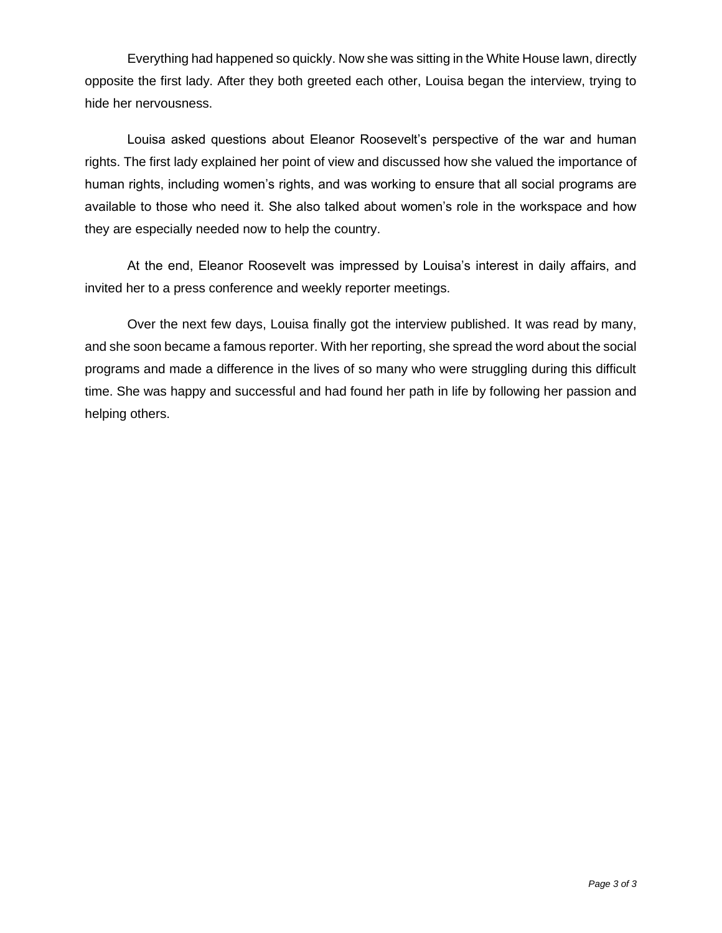Everything had happened so quickly. Now she was sitting in the White House lawn, directly opposite the first lady. After they both greeted each other, Louisa began the interview, trying to hide her nervousness.

Louisa asked questions about Eleanor Roosevelt's perspective of the war and human rights. The first lady explained her point of view and discussed how she valued the importance of human rights, including women's rights, and was working to ensure that all social programs are available to those who need it. She also talked about women's role in the workspace and how they are especially needed now to help the country.

At the end, Eleanor Roosevelt was impressed by Louisa's interest in daily affairs, and invited her to a press conference and weekly reporter meetings.

Over the next few days, Louisa finally got the interview published. It was read by many, and she soon became a famous reporter. With her reporting, she spread the word about the social programs and made a difference in the lives of so many who were struggling during this difficult time. She was happy and successful and had found her path in life by following her passion and helping others.